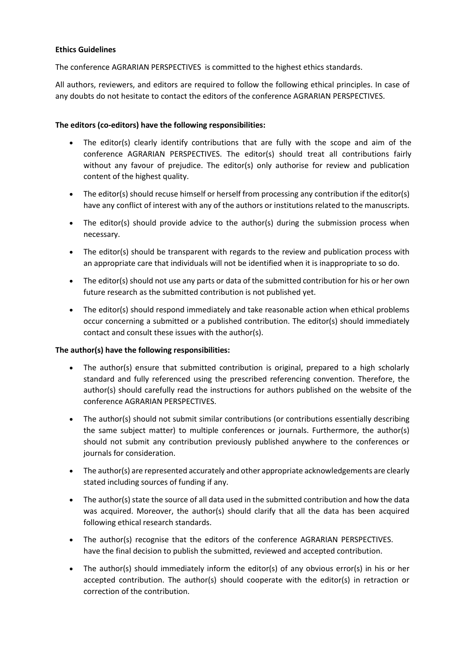## **Ethics Guidelines**

The conference AGRARIAN PERSPECTIVES is committed to the highest ethics standards.

All authors, reviewers, and editors are required to follow the following ethical principles. In case of any doubts do not hesitate to contact the editors of the conference AGRARIAN PERSPECTIVES.

## **The editors (co-editors) have the following responsibilities:**

- The editor(s) clearly identify contributions that are fully with the scope and aim of the conference AGRARIAN PERSPECTIVES. The editor(s) should treat all contributions fairly without any favour of prejudice. The editor(s) only authorise for review and publication content of the highest quality.
- The editor(s) should recuse himself or herself from processing any contribution if the editor(s) have any conflict of interest with any of the authors or institutions related to the manuscripts.
- The editor(s) should provide advice to the author(s) during the submission process when necessary.
- The editor(s) should be transparent with regards to the review and publication process with an appropriate care that individuals will not be identified when it is inappropriate to so do.
- The editor(s) should not use any parts or data of the submitted contribution for his or her own future research as the submitted contribution is not published yet.
- The editor(s) should respond immediately and take reasonable action when ethical problems occur concerning a submitted or a published contribution. The editor(s) should immediately contact and consult these issues with the author(s).

## **The author(s) have the following responsibilities:**

- The author(s) ensure that submitted contribution is original, prepared to a high scholarly standard and fully referenced using the prescribed referencing convention. Therefore, the author(s) should carefully read the instructions for authors published on the website of the conference AGRARIAN PERSPECTIVES.
- The author(s) should not submit similar contributions (or contributions essentially describing the same subject matter) to multiple conferences or journals. Furthermore, the author(s) should not submit any contribution previously published anywhere to the conferences or journals for consideration.
- The author(s) are represented accurately and other appropriate acknowledgements are clearly stated including sources of funding if any.
- The author(s) state the source of all data used in the submitted contribution and how the data was acquired. Moreover, the author(s) should clarify that all the data has been acquired following ethical research standards.
- The author(s) recognise that the editors of the conference AGRARIAN PERSPECTIVES. have the final decision to publish the submitted, reviewed and accepted contribution.
- The author(s) should immediately inform the editor(s) of any obvious error(s) in his or her accepted contribution. The author(s) should cooperate with the editor(s) in retraction or correction of the contribution.